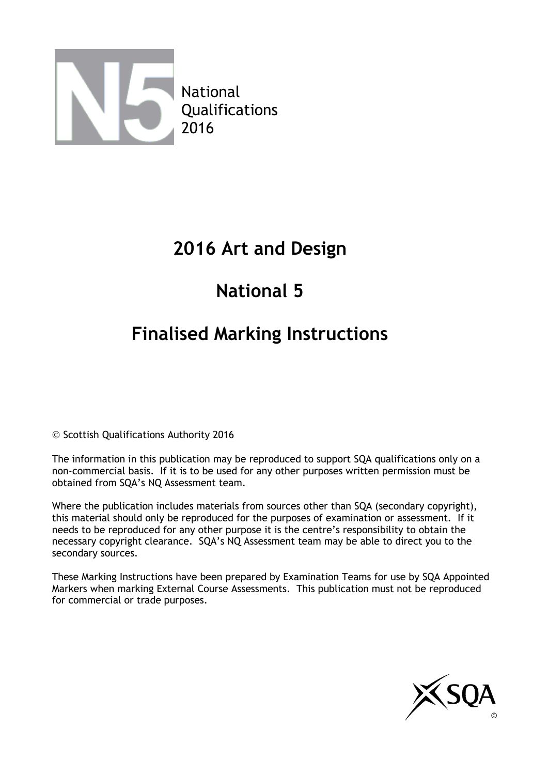

## **2016 Art and Design**

# **National 5**

# **Finalised Marking Instructions**

© Scottish Qualifications Authority 2016

The information in this publication may be reproduced to support SQA qualifications only on a non-commercial basis. If it is to be used for any other purposes written permission must be obtained from SQA's NQ Assessment team.

Where the publication includes materials from sources other than SQA (secondary copyright), this material should only be reproduced for the purposes of examination or assessment. If it needs to be reproduced for any other purpose it is the centre's responsibility to obtain the necessary copyright clearance. SQA's NQ Assessment team may be able to direct you to the secondary sources.

These Marking Instructions have been prepared by Examination Teams for use by SQA Appointed Markers when marking External Course Assessments. This publication must not be reproduced for commercial or trade purposes.

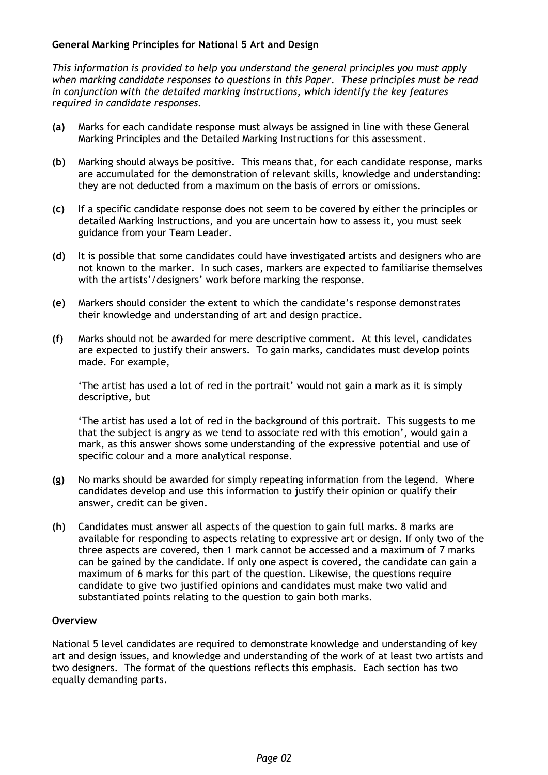#### **General Marking Principles for National 5 Art and Design**

*This information is provided to help you understand the general principles you must apply when marking candidate responses to questions in this Paper. These principles must be read in conjunction with the detailed marking instructions, which identify the key features required in candidate responses.*

- **(a)** Marks for each candidate response must always be assigned in line with these General Marking Principles and the Detailed Marking Instructions for this assessment.
- **(b)** Marking should always be positive. This means that, for each candidate response, marks are accumulated for the demonstration of relevant skills, knowledge and understanding: they are not deducted from a maximum on the basis of errors or omissions.
- **(c)** If a specific candidate response does not seem to be covered by either the principles or detailed Marking Instructions, and you are uncertain how to assess it, you must seek guidance from your Team Leader.
- **(d)** It is possible that some candidates could have investigated artists and designers who are not known to the marker. In such cases, markers are expected to familiarise themselves with the artists'/designers' work before marking the response.
- **(e)** Markers should consider the extent to which the candidate's response demonstrates their knowledge and understanding of art and design practice.
- **(f)** Marks should not be awarded for mere descriptive comment. At this level, candidates are expected to justify their answers. To gain marks, candidates must develop points made. For example,

'The artist has used a lot of red in the portrait' would not gain a mark as it is simply descriptive, but

'The artist has used a lot of red in the background of this portrait. This suggests to me that the subject is angry as we tend to associate red with this emotion', would gain a mark, as this answer shows some understanding of the expressive potential and use of specific colour and a more analytical response.

- **(g)** No marks should be awarded for simply repeating information from the legend. Where candidates develop and use this information to justify their opinion or qualify their answer, credit can be given.
- **(h)** Candidates must answer all aspects of the question to gain full marks. 8 marks are available for responding to aspects relating to expressive art or design. If only two of the three aspects are covered, then 1 mark cannot be accessed and a maximum of 7 marks can be gained by the candidate. If only one aspect is covered, the candidate can gain a maximum of 6 marks for this part of the question. Likewise, the questions require candidate to give two justified opinions and candidates must make two valid and substantiated points relating to the question to gain both marks.

#### **Overview**

National 5 level candidates are required to demonstrate knowledge and understanding of key art and design issues, and knowledge and understanding of the work of at least two artists and two designers. The format of the questions reflects this emphasis. Each section has two equally demanding parts.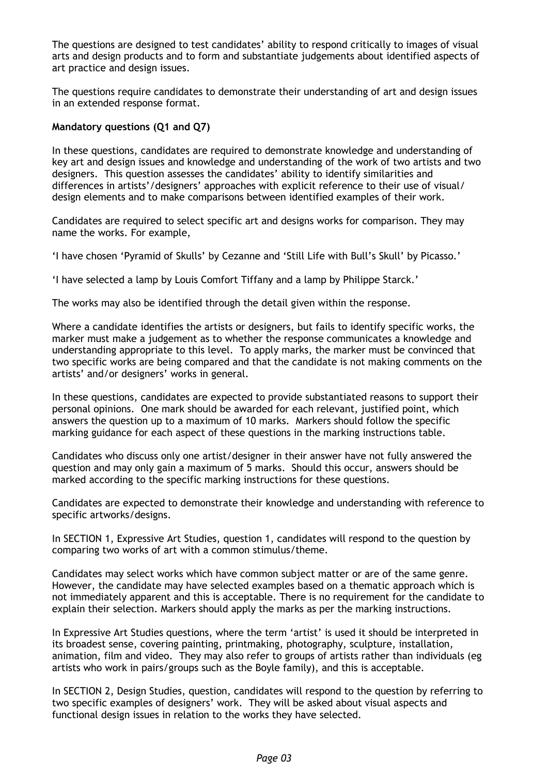The questions are designed to test candidates' ability to respond critically to images of visual arts and design products and to form and substantiate judgements about identified aspects of art practice and design issues.

The questions require candidates to demonstrate their understanding of art and design issues in an extended response format.

#### **Mandatory questions (Q1 and Q7)**

In these questions, candidates are required to demonstrate knowledge and understanding of key art and design issues and knowledge and understanding of the work of two artists and two designers. This question assesses the candidates' ability to identify similarities and differences in artists'/designers' approaches with explicit reference to their use of visual/ design elements and to make comparisons between identified examples of their work.

Candidates are required to select specific art and designs works for comparison. They may name the works. For example,

'I have chosen 'Pyramid of Skulls' by Cezanne and 'Still Life with Bull's Skull' by Picasso.'

'I have selected a lamp by Louis Comfort Tiffany and a lamp by Philippe Starck.'

The works may also be identified through the detail given within the response.

Where a candidate identifies the artists or designers, but fails to identify specific works, the marker must make a judgement as to whether the response communicates a knowledge and understanding appropriate to this level. To apply marks, the marker must be convinced that two specific works are being compared and that the candidate is not making comments on the artists' and/or designers' works in general.

In these questions, candidates are expected to provide substantiated reasons to support their personal opinions. One mark should be awarded for each relevant, justified point, which answers the question up to a maximum of 10 marks. Markers should follow the specific marking guidance for each aspect of these questions in the marking instructions table.

Candidates who discuss only one artist/designer in their answer have not fully answered the question and may only gain a maximum of 5 marks. Should this occur, answers should be marked according to the specific marking instructions for these questions.

Candidates are expected to demonstrate their knowledge and understanding with reference to specific artworks/designs.

In SECTION 1, Expressive Art Studies, question 1, candidates will respond to the question by comparing two works of art with a common stimulus/theme.

Candidates may select works which have common subject matter or are of the same genre. However, the candidate may have selected examples based on a thematic approach which is not immediately apparent and this is acceptable. There is no requirement for the candidate to explain their selection. Markers should apply the marks as per the marking instructions.

In Expressive Art Studies questions, where the term 'artist' is used it should be interpreted in its broadest sense, covering painting, printmaking, photography, sculpture, installation, animation, film and video. They may also refer to groups of artists rather than individuals (eg artists who work in pairs/groups such as the Boyle family), and this is acceptable.

In SECTION 2, Design Studies, question, candidates will respond to the question by referring to two specific examples of designers' work. They will be asked about visual aspects and functional design issues in relation to the works they have selected.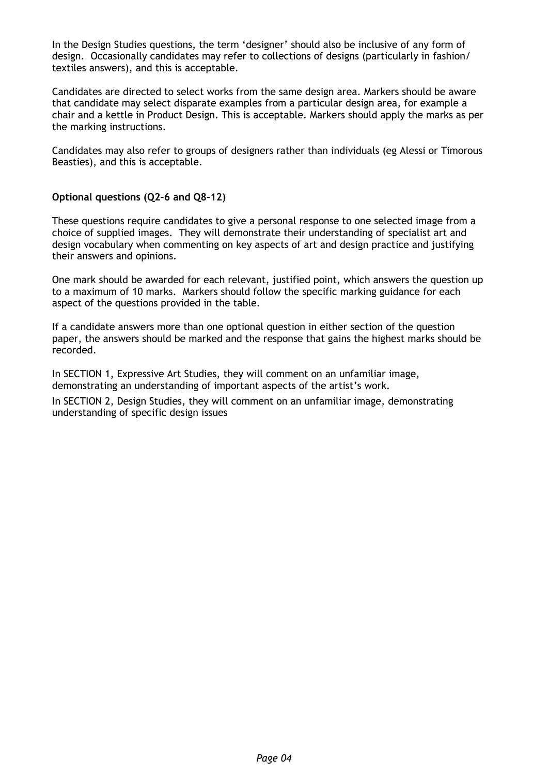In the Design Studies questions, the term 'designer' should also be inclusive of any form of design. Occasionally candidates may refer to collections of designs (particularly in fashion/ textiles answers), and this is acceptable.

Candidates are directed to select works from the same design area. Markers should be aware that candidate may select disparate examples from a particular design area, for example a chair and a kettle in Product Design. This is acceptable. Markers should apply the marks as per the marking instructions.

Candidates may also refer to groups of designers rather than individuals (eg Alessi or Timorous Beasties), and this is acceptable.

#### **Optional questions (Q2–6 and Q8–12)**

These questions require candidates to give a personal response to one selected image from a choice of supplied images. They will demonstrate their understanding of specialist art and design vocabulary when commenting on key aspects of art and design practice and justifying their answers and opinions.

One mark should be awarded for each relevant, justified point, which answers the question up to a maximum of 10 marks. Markers should follow the specific marking guidance for each aspect of the questions provided in the table.

If a candidate answers more than one optional question in either section of the question paper, the answers should be marked and the response that gains the highest marks should be recorded.

In SECTION 1, Expressive Art Studies, they will comment on an unfamiliar image, demonstrating an understanding of important aspects of the artist's work.

In SECTION 2, Design Studies, they will comment on an unfamiliar image, demonstrating understanding of specific design issues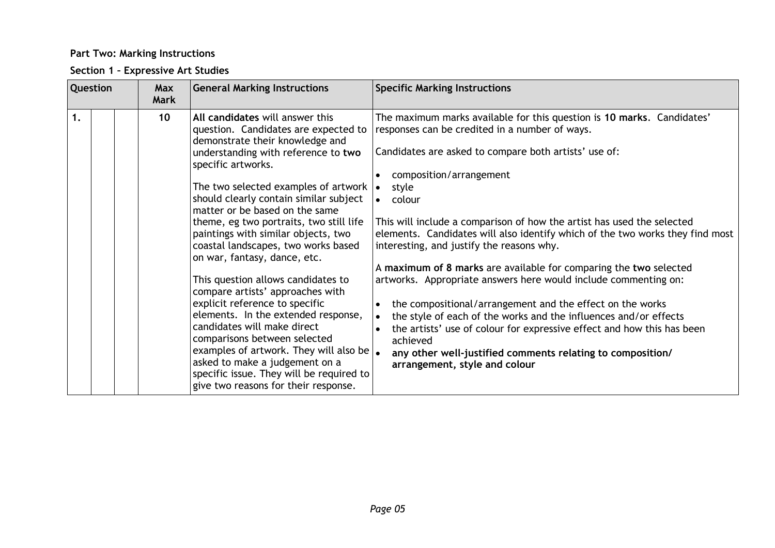### **Part Two: Marking Instructions**

### **Section 1 – Expressive Art Studies**

| <b>Question</b> | <b>General Marking Instructions</b><br>Max<br><b>Mark</b>                                                                                                                                                                                                                                                                                                                                                                                                                                                                                                                                                                                                                                                                                                                                                                                                                            | <b>Specific Marking Instructions</b>                                                                                                                                                                                                                                                                                                                                                                                                                                                                                                                                                                                                                                                                                                                                                                                                                                                                                            |
|-----------------|--------------------------------------------------------------------------------------------------------------------------------------------------------------------------------------------------------------------------------------------------------------------------------------------------------------------------------------------------------------------------------------------------------------------------------------------------------------------------------------------------------------------------------------------------------------------------------------------------------------------------------------------------------------------------------------------------------------------------------------------------------------------------------------------------------------------------------------------------------------------------------------|---------------------------------------------------------------------------------------------------------------------------------------------------------------------------------------------------------------------------------------------------------------------------------------------------------------------------------------------------------------------------------------------------------------------------------------------------------------------------------------------------------------------------------------------------------------------------------------------------------------------------------------------------------------------------------------------------------------------------------------------------------------------------------------------------------------------------------------------------------------------------------------------------------------------------------|
| 1.              | 10<br>All candidates will answer this<br>question. Candidates are expected to<br>demonstrate their knowledge and<br>understanding with reference to two<br>specific artworks.<br>The two selected examples of artwork $\vert \bullet \vert$<br>should clearly contain similar subject<br>matter or be based on the same<br>theme, eg two portraits, two still life<br>paintings with similar objects, two<br>coastal landscapes, two works based<br>on war, fantasy, dance, etc.<br>This question allows candidates to<br>compare artists' approaches with<br>explicit reference to specific<br>elements. In the extended response,<br>candidates will make direct<br>comparisons between selected<br>examples of artwork. They will also be $\vert_{\bullet}$<br>asked to make a judgement on a<br>specific issue. They will be required to<br>give two reasons for their response. | The maximum marks available for this question is 10 marks. Candidates'<br>responses can be credited in a number of ways.<br>Candidates are asked to compare both artists' use of:<br>composition/arrangement<br>style<br>colour<br>This will include a comparison of how the artist has used the selected<br>elements. Candidates will also identify which of the two works they find most<br>interesting, and justify the reasons why.<br>A maximum of 8 marks are available for comparing the two selected<br>artworks. Appropriate answers here would include commenting on:<br>the compositional/arrangement and the effect on the works<br>$\bullet$<br>the style of each of the works and the influences and/or effects<br>$\bullet$<br>the artists' use of colour for expressive effect and how this has been<br>achieved<br>any other well-justified comments relating to composition/<br>arrangement, style and colour |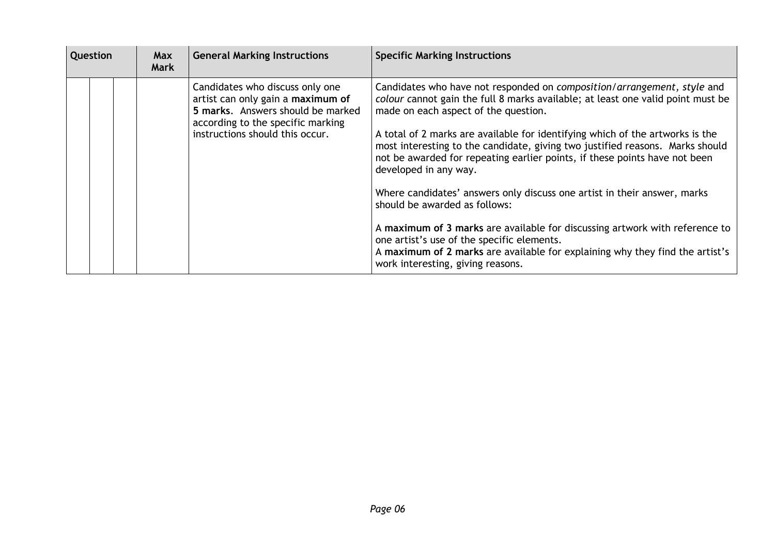|                                                                                                                                                                                                                                                                                                                                                                                                                                                                                                                                                                                                                   | Question | <b>Max</b><br>Mark | <b>General Marking Instructions</b> | <b>Specific Marking Instructions</b>                                                                                                                                                                                                                                                                                                                                                                       |  |  |
|-------------------------------------------------------------------------------------------------------------------------------------------------------------------------------------------------------------------------------------------------------------------------------------------------------------------------------------------------------------------------------------------------------------------------------------------------------------------------------------------------------------------------------------------------------------------------------------------------------------------|----------|--------------------|-------------------------------------|------------------------------------------------------------------------------------------------------------------------------------------------------------------------------------------------------------------------------------------------------------------------------------------------------------------------------------------------------------------------------------------------------------|--|--|
| Candidates who discuss only one<br>artist can only gain a maximum of<br>5 marks. Answers should be marked<br>made on each aspect of the question.<br>according to the specific marking<br>instructions should this occur.<br>A total of 2 marks are available for identifying which of the artworks is the<br>not be awarded for repeating earlier points, if these points have not been<br>developed in any way.<br>Where candidates' answers only discuss one artist in their answer, marks<br>should be awarded as follows:<br>one artist's use of the specific elements.<br>work interesting, giving reasons. |          |                    |                                     | Candidates who have not responded on composition/arrangement, style and<br>colour cannot gain the full 8 marks available; at least one valid point must be<br>most interesting to the candidate, giving two justified reasons. Marks should<br>A maximum of 3 marks are available for discussing artwork with reference to<br>A maximum of 2 marks are available for explaining why they find the artist's |  |  |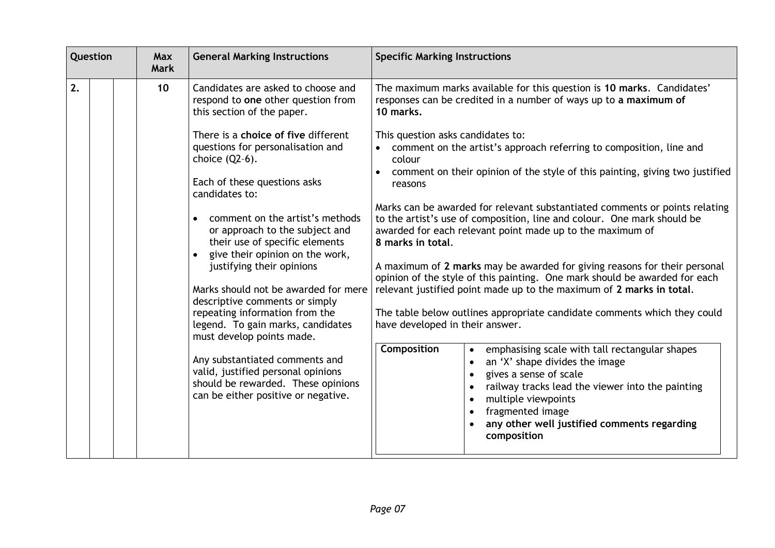| 2.<br>Candidates are asked to choose and<br>10<br>responses can be credited in a number of ways up to a maximum of<br>respond to one other question from<br>10 marks.<br>this section of the paper.                                                                                                                                                                                                                                                                                                                                                                                                                                                                                                                                                                                                                                                                                                                                                                                                                                                                                                                                                                                                                                                                                     | Question | <b>Max</b><br><b>Mark</b> | <b>General Marking Instructions</b> | <b>Specific Marking Instructions</b>                                                                                                                                                                                                                                                                                                                                                                                                                                                                              |  |
|-----------------------------------------------------------------------------------------------------------------------------------------------------------------------------------------------------------------------------------------------------------------------------------------------------------------------------------------------------------------------------------------------------------------------------------------------------------------------------------------------------------------------------------------------------------------------------------------------------------------------------------------------------------------------------------------------------------------------------------------------------------------------------------------------------------------------------------------------------------------------------------------------------------------------------------------------------------------------------------------------------------------------------------------------------------------------------------------------------------------------------------------------------------------------------------------------------------------------------------------------------------------------------------------|----------|---------------------------|-------------------------------------|-------------------------------------------------------------------------------------------------------------------------------------------------------------------------------------------------------------------------------------------------------------------------------------------------------------------------------------------------------------------------------------------------------------------------------------------------------------------------------------------------------------------|--|
| questions for personalisation and<br>comment on the artist's approach referring to composition, line and<br>choice $(Q2-6)$ .<br>colour<br>Each of these questions asks<br>reasons<br>candidates to:<br>comment on the artist's methods<br>to the artist's use of composition, line and colour. One mark should be<br>or approach to the subject and<br>awarded for each relevant point made up to the maximum of<br>their use of specific elements<br>8 marks in total.<br>give their opinion on the work,<br>justifying their opinions<br>Marks should not be awarded for mere<br>relevant justified point made up to the maximum of 2 marks in total.<br>descriptive comments or simply<br>repeating information from the<br>have developed in their answer.<br>legend. To gain marks, candidates<br>must develop points made.<br><b>Composition</b><br>emphasising scale with tall rectangular shapes<br>Any substantiated comments and<br>an 'X' shape divides the image<br>valid, justified personal opinions<br>gives a sense of scale<br>should be rewarded. These opinions<br>railway tracks lead the viewer into the painting<br>can be either positive or negative.<br>multiple viewpoints<br>fragmented image<br>any other well justified comments regarding<br>composition |          |                           | There is a choice of five different | The maximum marks available for this question is 10 marks. Candidates'<br>This question asks candidates to:<br>comment on their opinion of the style of this painting, giving two justified<br>Marks can be awarded for relevant substantiated comments or points relating<br>A maximum of 2 marks may be awarded for giving reasons for their personal<br>opinion of the style of this painting. One mark should be awarded for each<br>The table below outlines appropriate candidate comments which they could |  |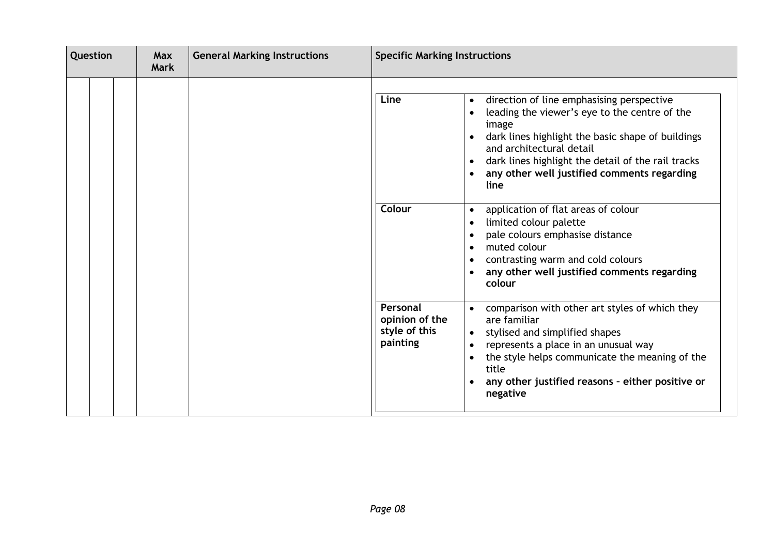| Question |  | <b>General Marking Instructions</b><br>Max<br><b>Mark</b> |  | <b>Specific Marking Instructions</b> |                                                         |                                                                                                                                                                                                                                                                                                                                                                                                                                                                                                                                                            |
|----------|--|-----------------------------------------------------------|--|--------------------------------------|---------------------------------------------------------|------------------------------------------------------------------------------------------------------------------------------------------------------------------------------------------------------------------------------------------------------------------------------------------------------------------------------------------------------------------------------------------------------------------------------------------------------------------------------------------------------------------------------------------------------------|
|          |  |                                                           |  |                                      | Line<br>Colour                                          | direction of line emphasising perspective<br>$\bullet$<br>leading the viewer's eye to the centre of the<br>image<br>dark lines highlight the basic shape of buildings<br>and architectural detail<br>dark lines highlight the detail of the rail tracks<br>$\bullet$<br>any other well justified comments regarding<br>line<br>application of flat areas of colour<br>$\bullet$<br>limited colour palette<br>pale colours emphasise distance<br>muted colour<br>contrasting warm and cold colours<br>any other well justified comments regarding<br>colour |
|          |  |                                                           |  |                                      | Personal<br>opinion of the<br>style of this<br>painting | comparison with other art styles of which they<br>are familiar<br>stylised and simplified shapes<br>$\bullet$<br>represents a place in an unusual way<br>$\bullet$<br>the style helps communicate the meaning of the<br>title<br>any other justified reasons - either positive or<br>$\bullet$<br>negative                                                                                                                                                                                                                                                 |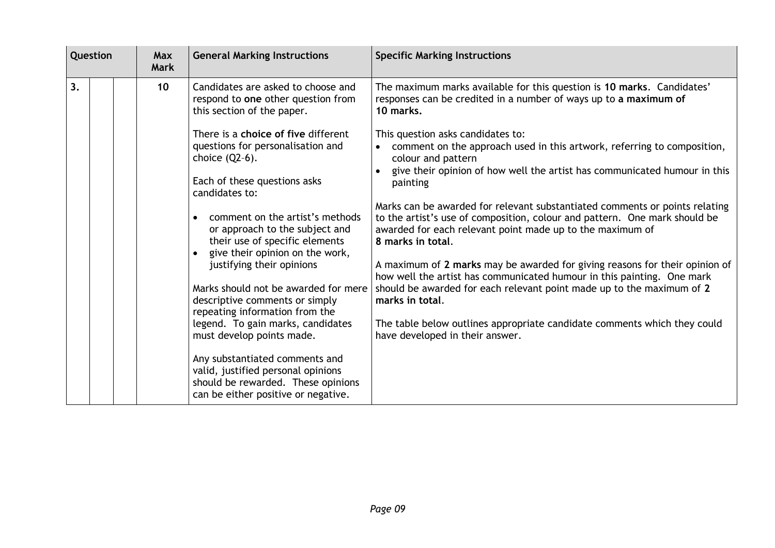| Question |  | <b>Max</b><br><b>Mark</b> | <b>General Marking Instructions</b> | <b>Specific Marking Instructions</b>                                                                                                                                                                                                                                                                                                                                                                                                                                                                                                                                                                           |                                                                                                                                                                                                                                                                                                                                                                                                                                                                                                                                                                                                                                                                                                                                                                                                                                                                                                                                                                                                           |
|----------|--|---------------------------|-------------------------------------|----------------------------------------------------------------------------------------------------------------------------------------------------------------------------------------------------------------------------------------------------------------------------------------------------------------------------------------------------------------------------------------------------------------------------------------------------------------------------------------------------------------------------------------------------------------------------------------------------------------|-----------------------------------------------------------------------------------------------------------------------------------------------------------------------------------------------------------------------------------------------------------------------------------------------------------------------------------------------------------------------------------------------------------------------------------------------------------------------------------------------------------------------------------------------------------------------------------------------------------------------------------------------------------------------------------------------------------------------------------------------------------------------------------------------------------------------------------------------------------------------------------------------------------------------------------------------------------------------------------------------------------|
| 3.       |  |                           | 10                                  | Candidates are asked to choose and<br>respond to one other question from<br>this section of the paper.<br>There is a choice of five different<br>questions for personalisation and<br>choice $(Q2-6)$ .<br>Each of these questions asks<br>candidates to:<br>comment on the artist's methods<br>or approach to the subject and<br>their use of specific elements<br>give their opinion on the work,<br>justifying their opinions<br>Marks should not be awarded for mere<br>descriptive comments or simply<br>repeating information from the<br>legend. To gain marks, candidates<br>must develop points made. | The maximum marks available for this question is 10 marks. Candidates'<br>responses can be credited in a number of ways up to a maximum of<br>10 marks.<br>This question asks candidates to:<br>comment on the approach used in this artwork, referring to composition,<br>colour and pattern<br>give their opinion of how well the artist has communicated humour in this<br>painting<br>Marks can be awarded for relevant substantiated comments or points relating<br>to the artist's use of composition, colour and pattern. One mark should be<br>awarded for each relevant point made up to the maximum of<br>8 marks in total.<br>A maximum of 2 marks may be awarded for giving reasons for their opinion of<br>how well the artist has communicated humour in this painting. One mark<br>should be awarded for each relevant point made up to the maximum of 2<br>marks in total.<br>The table below outlines appropriate candidate comments which they could<br>have developed in their answer. |
|          |  |                           |                                     | Any substantiated comments and<br>valid, justified personal opinions<br>should be rewarded. These opinions<br>can be either positive or negative.                                                                                                                                                                                                                                                                                                                                                                                                                                                              |                                                                                                                                                                                                                                                                                                                                                                                                                                                                                                                                                                                                                                                                                                                                                                                                                                                                                                                                                                                                           |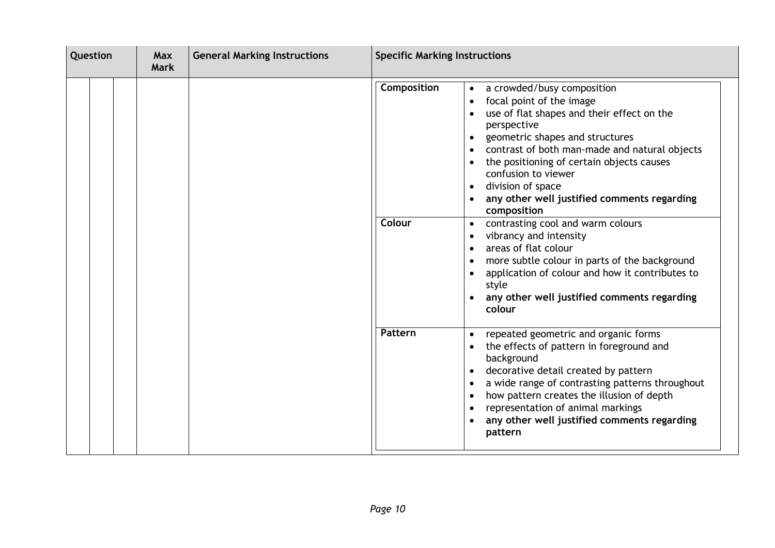| Question |  | <b>General Marking Instructions</b><br><b>Max</b><br><b>Mark</b> |  |                       | <b>Specific Marking Instructions</b>                                                                                                                                                                                                                                                                                                                                                                                                                                                                                                                                                                                                                                                                                   |  |  |
|----------|--|------------------------------------------------------------------|--|-----------------------|------------------------------------------------------------------------------------------------------------------------------------------------------------------------------------------------------------------------------------------------------------------------------------------------------------------------------------------------------------------------------------------------------------------------------------------------------------------------------------------------------------------------------------------------------------------------------------------------------------------------------------------------------------------------------------------------------------------------|--|--|
|          |  |                                                                  |  | Composition<br>Colour | a crowded/busy composition<br>$\bullet$<br>focal point of the image<br>$\bullet$<br>use of flat shapes and their effect on the<br>perspective<br>geometric shapes and structures<br>$\bullet$<br>contrast of both man-made and natural objects<br>the positioning of certain objects causes<br>confusion to viewer<br>division of space<br>$\bullet$<br>any other well justified comments regarding<br>composition<br>contrasting cool and warm colours<br>$\bullet$<br>vibrancy and intensity<br>areas of flat colour<br>$\bullet$<br>more subtle colour in parts of the background<br>$\bullet$<br>application of colour and how it contributes to<br>style<br>any other well justified comments regarding<br>colour |  |  |
|          |  |                                                                  |  | Pattern               | repeated geometric and organic forms<br>the effects of pattern in foreground and<br>background<br>decorative detail created by pattern<br>a wide range of contrasting patterns throughout<br>$\bullet$<br>how pattern creates the illusion of depth<br>$\bullet$<br>representation of animal markings<br>$\bullet$<br>any other well justified comments regarding<br>pattern                                                                                                                                                                                                                                                                                                                                           |  |  |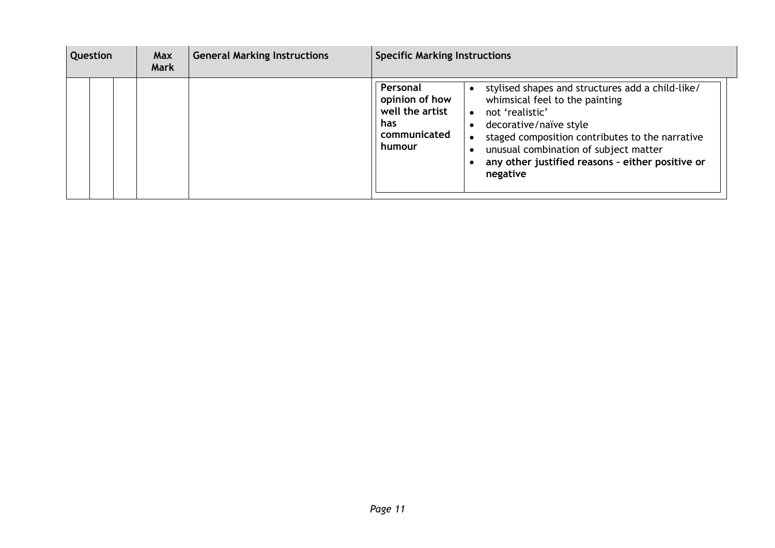| Question | Max<br><b>Mark</b> | <b>General Marking Instructions</b> | <b>Specific Marking Instructions</b>                                                                                                                                                                                                                                                                                                                                          |
|----------|--------------------|-------------------------------------|-------------------------------------------------------------------------------------------------------------------------------------------------------------------------------------------------------------------------------------------------------------------------------------------------------------------------------------------------------------------------------|
|          |                    |                                     | Personal<br>stylised shapes and structures add a child-like/<br>opinion of how<br>whimsical feel to the painting<br>well the artist<br>not 'realistic'<br>has<br>decorative/naïve style<br>communicated<br>staged composition contributes to the narrative<br>humour<br>unusual combination of subject matter<br>any other justified reasons - either positive or<br>negative |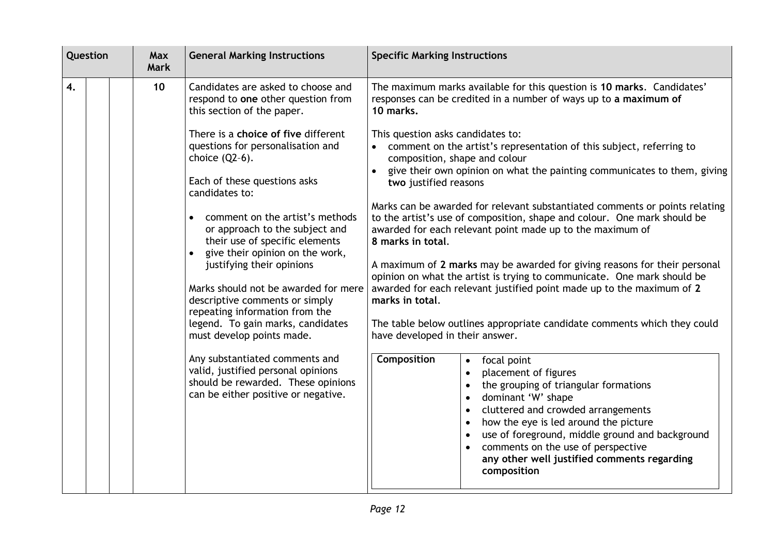| Question |  | <b>Max</b><br><b>Mark</b> | <b>General Marking Instructions</b>                                                                                                               | <b>Specific Marking Instructions</b>                                                                                                                                                                                                                                                                                                                           |
|----------|--|---------------------------|---------------------------------------------------------------------------------------------------------------------------------------------------|----------------------------------------------------------------------------------------------------------------------------------------------------------------------------------------------------------------------------------------------------------------------------------------------------------------------------------------------------------------|
| 4.       |  | 10                        | Candidates are asked to choose and<br>respond to one other question from<br>this section of the paper.                                            | The maximum marks available for this question is 10 marks. Candidates'<br>responses can be credited in a number of ways up to a maximum of<br>10 marks.                                                                                                                                                                                                        |
|          |  |                           | There is a choice of five different<br>questions for personalisation and<br>choice $(Q2-6)$ .                                                     | This question asks candidates to:<br>comment on the artist's representation of this subject, referring to<br>composition, shape and colour                                                                                                                                                                                                                     |
|          |  |                           | Each of these questions asks<br>candidates to:                                                                                                    | give their own opinion on what the painting communicates to them, giving<br>two justified reasons                                                                                                                                                                                                                                                              |
|          |  |                           | comment on the artist's methods<br>or approach to the subject and<br>their use of specific elements<br>give their opinion on the work,            | Marks can be awarded for relevant substantiated comments or points relating<br>to the artist's use of composition, shape and colour. One mark should be<br>awarded for each relevant point made up to the maximum of<br>8 marks in total.                                                                                                                      |
|          |  |                           | justifying their opinions<br>Marks should not be awarded for mere                                                                                 | A maximum of 2 marks may be awarded for giving reasons for their personal<br>opinion on what the artist is trying to communicate. One mark should be<br>awarded for each relevant justified point made up to the maximum of 2                                                                                                                                  |
|          |  |                           | descriptive comments or simply<br>repeating information from the<br>legend. To gain marks, candidates                                             | marks in total.<br>The table below outlines appropriate candidate comments which they could                                                                                                                                                                                                                                                                    |
|          |  |                           | must develop points made.                                                                                                                         | have developed in their answer.                                                                                                                                                                                                                                                                                                                                |
|          |  |                           | Any substantiated comments and<br>valid, justified personal opinions<br>should be rewarded. These opinions<br>can be either positive or negative. | <b>Composition</b><br>focal point<br>placement of figures<br>the grouping of triangular formations<br>dominant 'W' shape<br>cluttered and crowded arrangements<br>how the eye is led around the picture<br>use of foreground, middle ground and background<br>comments on the use of perspective<br>any other well justified comments regarding<br>composition |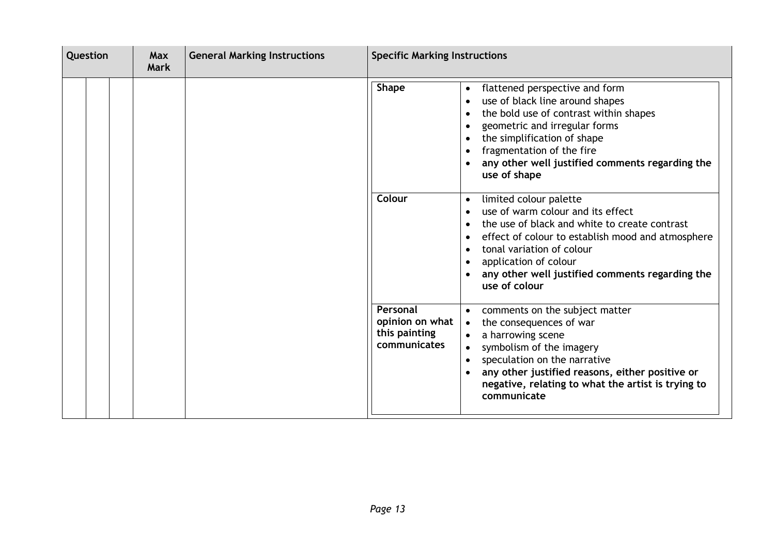| Question |  | <b>Max</b><br><b>Mark</b> | <b>General Marking Instructions</b> |  | <b>Specific Marking Instructions</b>                         |                                                                                                                                                                                                                                                                                                                       |
|----------|--|---------------------------|-------------------------------------|--|--------------------------------------------------------------|-----------------------------------------------------------------------------------------------------------------------------------------------------------------------------------------------------------------------------------------------------------------------------------------------------------------------|
|          |  |                           |                                     |  | <b>Shape</b>                                                 | flattened perspective and form<br>$\bullet$<br>use of black line around shapes<br>the bold use of contrast within shapes<br>geometric and irregular forms<br>$\bullet$<br>the simplification of shape<br>fragmentation of the fire<br>any other well justified comments regarding the<br>use of shape                 |
|          |  |                           |                                     |  | Colour                                                       | limited colour palette<br>$\bullet$<br>use of warm colour and its effect<br>the use of black and white to create contrast<br>effect of colour to establish mood and atmosphere<br>$\bullet$<br>tonal variation of colour<br>application of colour<br>any other well justified comments regarding the<br>use of colour |
|          |  |                           |                                     |  | Personal<br>opinion on what<br>this painting<br>communicates | comments on the subject matter<br>the consequences of war<br>$\bullet$<br>a harrowing scene<br>symbolism of the imagery<br>speculation on the narrative<br>any other justified reasons, either positive or<br>negative, relating to what the artist is trying to<br>communicate                                       |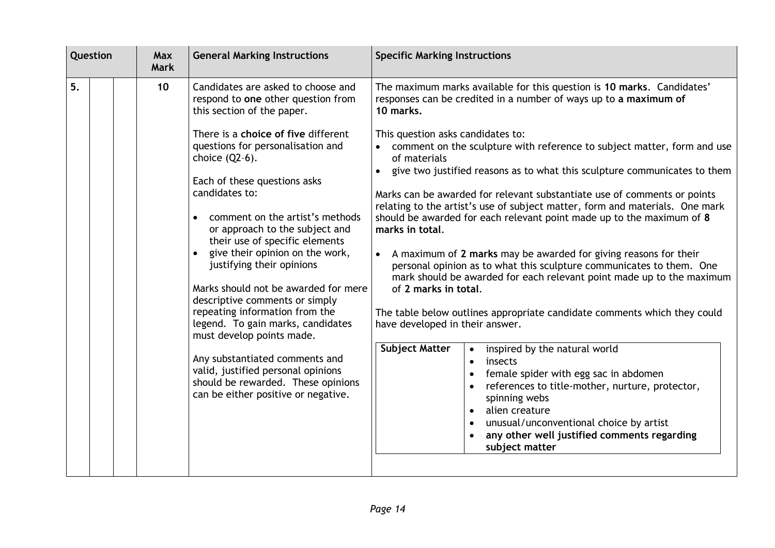| Question<br><b>General Marking Instructions</b><br>Max<br><b>Mark</b> |  |                 | <b>Specific Marking Instructions</b>                                                                                                                                                                                                                                                                                                                                                                                                                                                                                                                                                                                                                                                                                                                                |                                                                                                                                                                                                                                                                                                                                                                                                                                                                                                                                                                                                                                                                                                                                                                                                                                                                                                                                                                                                                                                                                                                                                                                                                                                                                                                                                              |
|-----------------------------------------------------------------------|--|-----------------|---------------------------------------------------------------------------------------------------------------------------------------------------------------------------------------------------------------------------------------------------------------------------------------------------------------------------------------------------------------------------------------------------------------------------------------------------------------------------------------------------------------------------------------------------------------------------------------------------------------------------------------------------------------------------------------------------------------------------------------------------------------------|--------------------------------------------------------------------------------------------------------------------------------------------------------------------------------------------------------------------------------------------------------------------------------------------------------------------------------------------------------------------------------------------------------------------------------------------------------------------------------------------------------------------------------------------------------------------------------------------------------------------------------------------------------------------------------------------------------------------------------------------------------------------------------------------------------------------------------------------------------------------------------------------------------------------------------------------------------------------------------------------------------------------------------------------------------------------------------------------------------------------------------------------------------------------------------------------------------------------------------------------------------------------------------------------------------------------------------------------------------------|
| 5.                                                                    |  | 10 <sup>°</sup> | Candidates are asked to choose and<br>respond to one other question from<br>this section of the paper.<br>There is a choice of five different<br>questions for personalisation and<br>choice $(Q2-6)$ .<br>Each of these questions asks<br>candidates to:<br>comment on the artist's methods<br>or approach to the subject and<br>their use of specific elements<br>give their opinion on the work,<br>justifying their opinions<br>Marks should not be awarded for mere<br>descriptive comments or simply<br>repeating information from the<br>legend. To gain marks, candidates<br>must develop points made.<br>Any substantiated comments and<br>valid, justified personal opinions<br>should be rewarded. These opinions<br>can be either positive or negative. | The maximum marks available for this question is 10 marks. Candidates'<br>responses can be credited in a number of ways up to a maximum of<br>10 marks.<br>This question asks candidates to:<br>comment on the sculpture with reference to subject matter, form and use<br>of materials<br>give two justified reasons as to what this sculpture communicates to them<br>Marks can be awarded for relevant substantiate use of comments or points<br>relating to the artist's use of subject matter, form and materials. One mark<br>should be awarded for each relevant point made up to the maximum of 8<br>marks in total.<br>A maximum of 2 marks may be awarded for giving reasons for their<br>$\bullet$<br>personal opinion as to what this sculpture communicates to them. One<br>mark should be awarded for each relevant point made up to the maximum<br>of 2 marks in total.<br>The table below outlines appropriate candidate comments which they could<br>have developed in their answer.<br><b>Subject Matter</b><br>inspired by the natural world<br>$\bullet$<br>insects<br>$\bullet$<br>female spider with egg sac in abdomen<br>references to title-mother, nurture, protector,<br>spinning webs<br>alien creature<br>$\bullet$<br>unusual/unconventional choice by artist<br>any other well justified comments regarding<br>subject matter |
|                                                                       |  |                 |                                                                                                                                                                                                                                                                                                                                                                                                                                                                                                                                                                                                                                                                                                                                                                     |                                                                                                                                                                                                                                                                                                                                                                                                                                                                                                                                                                                                                                                                                                                                                                                                                                                                                                                                                                                                                                                                                                                                                                                                                                                                                                                                                              |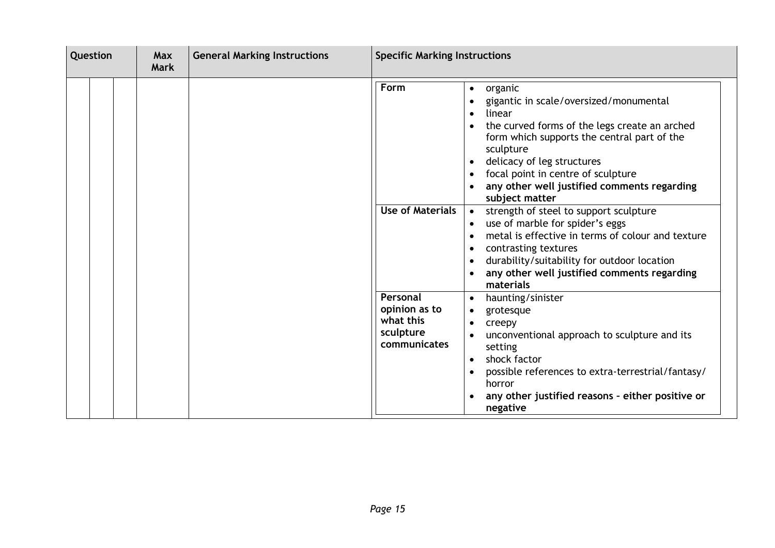| Question |  | <b>Max</b><br><b>Mark</b> | <b>General Marking Instructions</b> | <b>Specific Marking Instructions</b> |                                                                     |                                                                                                                                                                                                                                                                                                                                                                                                                                                                                                                                                                                                                                                                  |
|----------|--|---------------------------|-------------------------------------|--------------------------------------|---------------------------------------------------------------------|------------------------------------------------------------------------------------------------------------------------------------------------------------------------------------------------------------------------------------------------------------------------------------------------------------------------------------------------------------------------------------------------------------------------------------------------------------------------------------------------------------------------------------------------------------------------------------------------------------------------------------------------------------------|
|          |  |                           |                                     |                                      | Form<br><b>Use of Materials</b>                                     | organic<br>$\bullet$<br>gigantic in scale/oversized/monumental<br>linear<br>$\bullet$<br>the curved forms of the legs create an arched<br>$\bullet$<br>form which supports the central part of the<br>sculpture<br>delicacy of leg structures<br>$\bullet$<br>focal point in centre of sculpture<br>any other well justified comments regarding<br>subject matter<br>strength of steel to support sculpture<br>$\bullet$<br>use of marble for spider's eggs<br>metal is effective in terms of colour and texture<br>$\bullet$<br>contrasting textures<br>durability/suitability for outdoor location<br>$\bullet$<br>any other well justified comments regarding |
|          |  |                           |                                     |                                      | Personal<br>opinion as to<br>what this<br>sculpture<br>communicates | materials<br>haunting/sinister<br>$\bullet$<br>grotesque<br>creepy<br>unconventional approach to sculpture and its<br>setting<br>shock factor<br>$\bullet$<br>possible references to extra-terrestrial/fantasy/<br>$\bullet$<br>horror<br>any other justified reasons - either positive or<br>negative                                                                                                                                                                                                                                                                                                                                                           |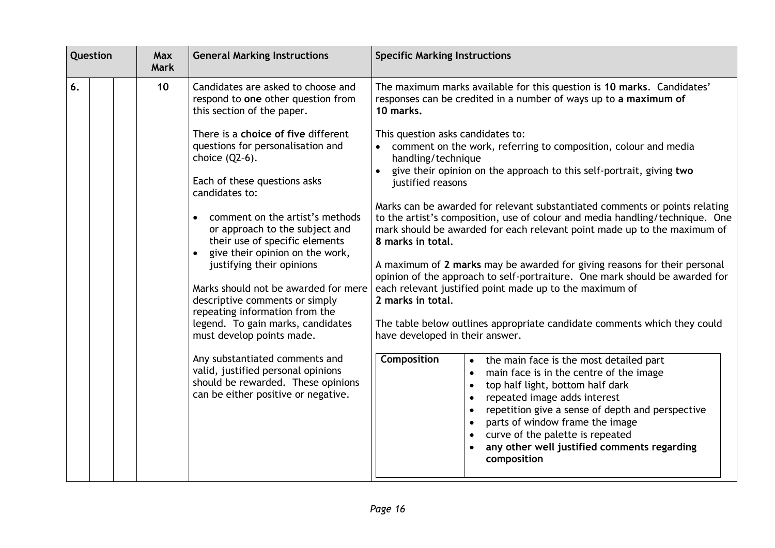| Question | Max<br><b>Mark</b> | <b>General Marking Instructions</b>                                                                                                                                                                                                                                                                                                                                                                                                                                                                    | <b>Specific Marking Instructions</b>                                                                                                                                                                                                                                                                                                                                                                                                                                                                                                                                                                                                                                                                                                                                                                                                                                                                                                                                                                          |  |
|----------|--------------------|--------------------------------------------------------------------------------------------------------------------------------------------------------------------------------------------------------------------------------------------------------------------------------------------------------------------------------------------------------------------------------------------------------------------------------------------------------------------------------------------------------|---------------------------------------------------------------------------------------------------------------------------------------------------------------------------------------------------------------------------------------------------------------------------------------------------------------------------------------------------------------------------------------------------------------------------------------------------------------------------------------------------------------------------------------------------------------------------------------------------------------------------------------------------------------------------------------------------------------------------------------------------------------------------------------------------------------------------------------------------------------------------------------------------------------------------------------------------------------------------------------------------------------|--|
| 6.       | 10                 | Candidates are asked to choose and<br>respond to one other question from<br>this section of the paper.                                                                                                                                                                                                                                                                                                                                                                                                 | The maximum marks available for this question is 10 marks. Candidates'<br>responses can be credited in a number of ways up to a maximum of<br>10 marks.                                                                                                                                                                                                                                                                                                                                                                                                                                                                                                                                                                                                                                                                                                                                                                                                                                                       |  |
|          |                    | There is a choice of five different<br>questions for personalisation and<br>choice $(Q2-6)$ .<br>Each of these questions asks<br>candidates to:                                                                                                                                                                                                                                                                                                                                                        | This question asks candidates to:<br>comment on the work, referring to composition, colour and media<br>handling/technique<br>give their opinion on the approach to this self-portrait, giving two<br>justified reasons                                                                                                                                                                                                                                                                                                                                                                                                                                                                                                                                                                                                                                                                                                                                                                                       |  |
|          |                    | comment on the artist's methods<br>or approach to the subject and<br>their use of specific elements<br>give their opinion on the work,<br>justifying their opinions<br>Marks should not be awarded for mere<br>descriptive comments or simply<br>repeating information from the<br>legend. To gain marks, candidates<br>must develop points made.<br>Any substantiated comments and<br>valid, justified personal opinions<br>should be rewarded. These opinions<br>can be either positive or negative. | Marks can be awarded for relevant substantiated comments or points relating<br>to the artist's composition, use of colour and media handling/technique. One<br>mark should be awarded for each relevant point made up to the maximum of<br>8 marks in total.<br>A maximum of 2 marks may be awarded for giving reasons for their personal<br>opinion of the approach to self-portraiture. One mark should be awarded for<br>each relevant justified point made up to the maximum of<br>2 marks in total.<br>The table below outlines appropriate candidate comments which they could<br>have developed in their answer.<br><b>Composition</b><br>the main face is the most detailed part<br>main face is in the centre of the image<br>top half light, bottom half dark<br>repeated image adds interest<br>$\bullet$<br>repetition give a sense of depth and perspective<br>parts of window frame the image<br>curve of the palette is repeated<br>any other well justified comments regarding<br>composition |  |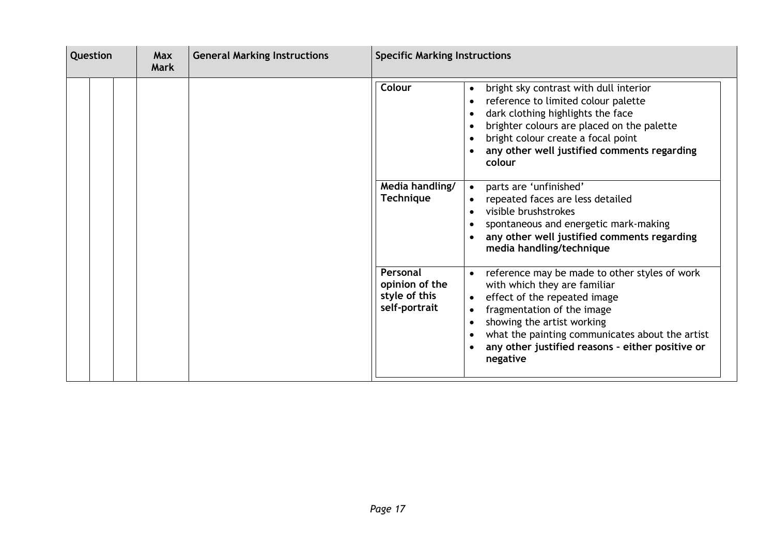| Question |  | <b>General Marking Instructions</b><br><b>Max</b><br><b>Mark</b> |  | <b>Specific Marking Instructions</b> |                                                              |                                                                                                                                                                                                                                                                                                                                                  |
|----------|--|------------------------------------------------------------------|--|--------------------------------------|--------------------------------------------------------------|--------------------------------------------------------------------------------------------------------------------------------------------------------------------------------------------------------------------------------------------------------------------------------------------------------------------------------------------------|
|          |  |                                                                  |  |                                      | <b>Colour</b>                                                | bright sky contrast with dull interior<br>$\bullet$<br>reference to limited colour palette<br>$\bullet$<br>dark clothing highlights the face<br>$\bullet$<br>brighter colours are placed on the palette<br>bright colour create a focal point<br>any other well justified comments regarding<br>colour                                           |
|          |  |                                                                  |  |                                      | Media handling/<br><b>Technique</b>                          | parts are 'unfinished'<br>repeated faces are less detailed<br>visible brushstrokes<br>$\bullet$<br>spontaneous and energetic mark-making<br>any other well justified comments regarding<br>media handling/technique                                                                                                                              |
|          |  |                                                                  |  |                                      | Personal<br>opinion of the<br>style of this<br>self-portrait | reference may be made to other styles of work<br>$\bullet$<br>with which they are familiar<br>effect of the repeated image<br>$\bullet$<br>fragmentation of the image<br>showing the artist working<br>$\bullet$<br>what the painting communicates about the artist<br>any other justified reasons - either positive or<br>$\bullet$<br>negative |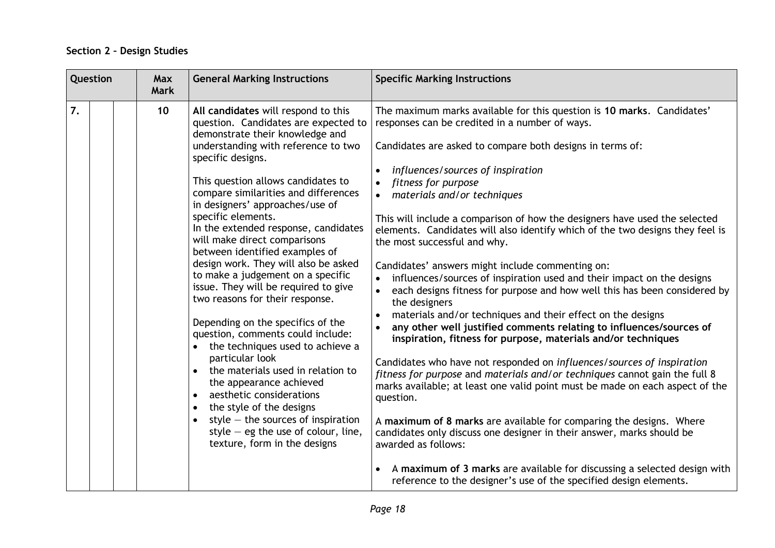### **Section 2 – Design Studies**

| $\overline{7}$ .<br>10<br>The maximum marks available for this question is 10 marks. Candidates'<br>All candidates will respond to this                                                                                                                                                                                                                                                                                                                                                                                                                                                                                                                                                                                                                                                                                                                                                                                                                                                                                                                                                                                                                                                                                                                                                                                                                                                                                                                                                                                                                                                                                                                                                                                                                                                                                                                                                                                                                                                                                                                                                                                                                                                                                                                                                                                                                                                                                         |  |
|---------------------------------------------------------------------------------------------------------------------------------------------------------------------------------------------------------------------------------------------------------------------------------------------------------------------------------------------------------------------------------------------------------------------------------------------------------------------------------------------------------------------------------------------------------------------------------------------------------------------------------------------------------------------------------------------------------------------------------------------------------------------------------------------------------------------------------------------------------------------------------------------------------------------------------------------------------------------------------------------------------------------------------------------------------------------------------------------------------------------------------------------------------------------------------------------------------------------------------------------------------------------------------------------------------------------------------------------------------------------------------------------------------------------------------------------------------------------------------------------------------------------------------------------------------------------------------------------------------------------------------------------------------------------------------------------------------------------------------------------------------------------------------------------------------------------------------------------------------------------------------------------------------------------------------------------------------------------------------------------------------------------------------------------------------------------------------------------------------------------------------------------------------------------------------------------------------------------------------------------------------------------------------------------------------------------------------------------------------------------------------------------------------------------------------|--|
| question. Candidates are expected to<br>responses can be credited in a number of ways.<br>demonstrate their knowledge and<br>understanding with reference to two<br>Candidates are asked to compare both designs in terms of:<br>specific designs.<br>influences/sources of inspiration<br>$\bullet$<br>This question allows candidates to<br>fitness for purpose<br>compare similarities and differences<br>• materials and/or techniques<br>in designers' approaches/use of<br>specific elements.<br>This will include a comparison of how the designers have used the selected<br>In the extended response, candidates<br>elements. Candidates will also identify which of the two designs they feel is<br>will make direct comparisons<br>the most successful and why.<br>between identified examples of<br>design work. They will also be asked<br>Candidates' answers might include commenting on:<br>to make a judgement on a specific<br>influences/sources of inspiration used and their impact on the designs<br>issue. They will be required to give<br>each designs fitness for purpose and how well this has been considered by<br>$\bullet$<br>two reasons for their response.<br>the designers<br>materials and/or techniques and their effect on the designs<br>$\bullet$<br>Depending on the specifics of the<br>any other well justified comments relating to influences/sources of<br>question, comments could include:<br>inspiration, fitness for purpose, materials and/or techniques<br>the techniques used to achieve a<br>particular look<br>Candidates who have not responded on influences/sources of inspiration<br>the materials used in relation to<br>fitness for purpose and materials and/or techniques cannot gain the full 8<br>the appearance achieved<br>marks available; at least one valid point must be made on each aspect of the<br>aesthetic considerations<br>$\bullet$<br>question.<br>the style of the designs<br>$\bullet$<br>style $-$ the sources of inspiration<br>A maximum of 8 marks are available for comparing the designs. Where<br>$\bullet$<br>style $-$ eg the use of colour, line,<br>candidates only discuss one designer in their answer, marks should be<br>texture, form in the designs<br>awarded as follows:<br>A maximum of 3 marks are available for discussing a selected design with<br>reference to the designer's use of the specified design elements. |  |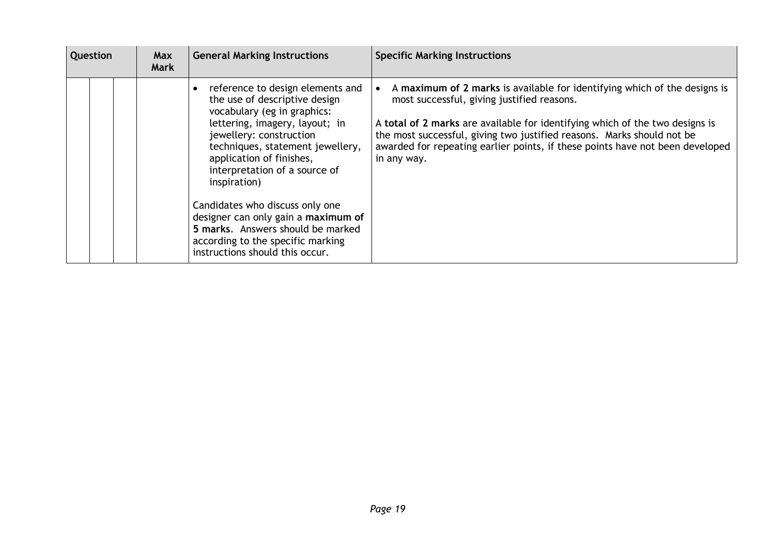| <b>Question</b> |  | Max<br>Mark | <b>General Marking Instructions</b>                                                                                                                                                                                                                                                                                                                                                                                                                                   | <b>Specific Marking Instructions</b>                                                                                                                                                                                                                                                                                                                                              |  |  |
|-----------------|--|-------------|-----------------------------------------------------------------------------------------------------------------------------------------------------------------------------------------------------------------------------------------------------------------------------------------------------------------------------------------------------------------------------------------------------------------------------------------------------------------------|-----------------------------------------------------------------------------------------------------------------------------------------------------------------------------------------------------------------------------------------------------------------------------------------------------------------------------------------------------------------------------------|--|--|
|                 |  |             | reference to design elements and<br>the use of descriptive design<br>vocabulary (eg in graphics:<br>lettering, imagery, layout; in<br>jewellery: construction<br>techniques, statement jewellery,<br>application of finishes,<br>interpretation of a source of<br>inspiration)<br>Candidates who discuss only one<br>designer can only gain a maximum of<br>5 marks. Answers should be marked<br>according to the specific marking<br>instructions should this occur. | A maximum of 2 marks is available for identifying which of the designs is<br>most successful, giving justified reasons.<br>A total of 2 marks are available for identifying which of the two designs is<br>the most successful, giving two justified reasons. Marks should not be<br>awarded for repeating earlier points, if these points have not been developed<br>in any way. |  |  |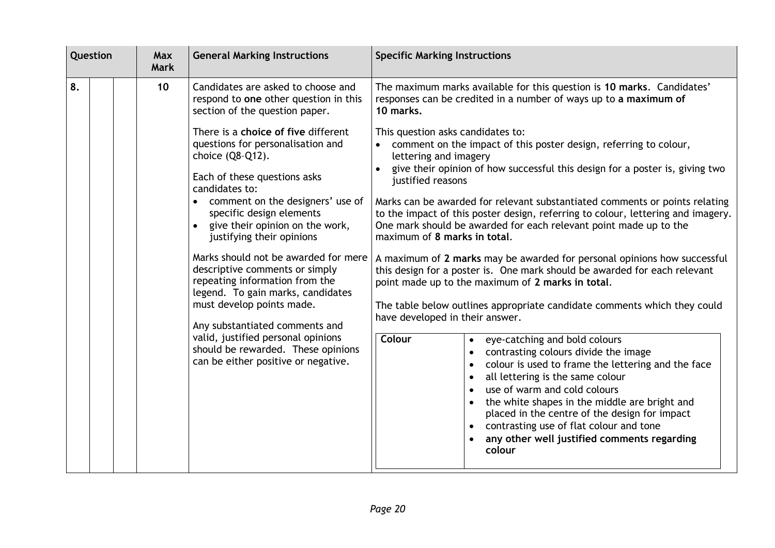| Question |  | <b>Max</b><br><b>Mark</b> | <b>General Marking Instructions</b> | <b>Specific Marking Instructions</b>                                                                                                                                                                                                                                                                                                                                                                                                                                                                                                                                                                                           |                                                                                                                                                                                                                                                                                                                                                                                                                                                                                                                                                                                                                                                                                                                                                                                                                                                                                                                                                                                                                                                                                                                                                                                                                                                                                        |
|----------|--|---------------------------|-------------------------------------|--------------------------------------------------------------------------------------------------------------------------------------------------------------------------------------------------------------------------------------------------------------------------------------------------------------------------------------------------------------------------------------------------------------------------------------------------------------------------------------------------------------------------------------------------------------------------------------------------------------------------------|----------------------------------------------------------------------------------------------------------------------------------------------------------------------------------------------------------------------------------------------------------------------------------------------------------------------------------------------------------------------------------------------------------------------------------------------------------------------------------------------------------------------------------------------------------------------------------------------------------------------------------------------------------------------------------------------------------------------------------------------------------------------------------------------------------------------------------------------------------------------------------------------------------------------------------------------------------------------------------------------------------------------------------------------------------------------------------------------------------------------------------------------------------------------------------------------------------------------------------------------------------------------------------------|
| 8.       |  |                           | 10                                  | Candidates are asked to choose and<br>respond to one other question in this<br>section of the question paper.                                                                                                                                                                                                                                                                                                                                                                                                                                                                                                                  | The maximum marks available for this question is 10 marks. Candidates'<br>responses can be credited in a number of ways up to a maximum of<br>10 marks.                                                                                                                                                                                                                                                                                                                                                                                                                                                                                                                                                                                                                                                                                                                                                                                                                                                                                                                                                                                                                                                                                                                                |
|          |  |                           |                                     | There is a choice of five different<br>questions for personalisation and<br>choice (Q8-Q12).<br>Each of these questions asks<br>candidates to:<br>comment on the designers' use of<br>$\bullet$<br>specific design elements<br>give their opinion on the work,<br>justifying their opinions<br>Marks should not be awarded for mere<br>descriptive comments or simply<br>repeating information from the<br>legend. To gain marks, candidates<br>must develop points made.<br>Any substantiated comments and<br>valid, justified personal opinions<br>should be rewarded. These opinions<br>can be either positive or negative. | This question asks candidates to:<br>comment on the impact of this poster design, referring to colour,<br>lettering and imagery<br>give their opinion of how successful this design for a poster is, giving two<br>justified reasons<br>Marks can be awarded for relevant substantiated comments or points relating<br>to the impact of this poster design, referring to colour, lettering and imagery.<br>One mark should be awarded for each relevant point made up to the<br>maximum of 8 marks in total.<br>A maximum of 2 marks may be awarded for personal opinions how successful<br>this design for a poster is. One mark should be awarded for each relevant<br>point made up to the maximum of 2 marks in total.<br>The table below outlines appropriate candidate comments which they could<br>have developed in their answer.<br>Colour<br>eye-catching and bold colours<br>$\bullet$<br>contrasting colours divide the image<br>colour is used to frame the lettering and the face<br>all lettering is the same colour<br>use of warm and cold colours<br>the white shapes in the middle are bright and<br>placed in the centre of the design for impact<br>contrasting use of flat colour and tone<br>$\bullet$<br>any other well justified comments regarding<br>colour |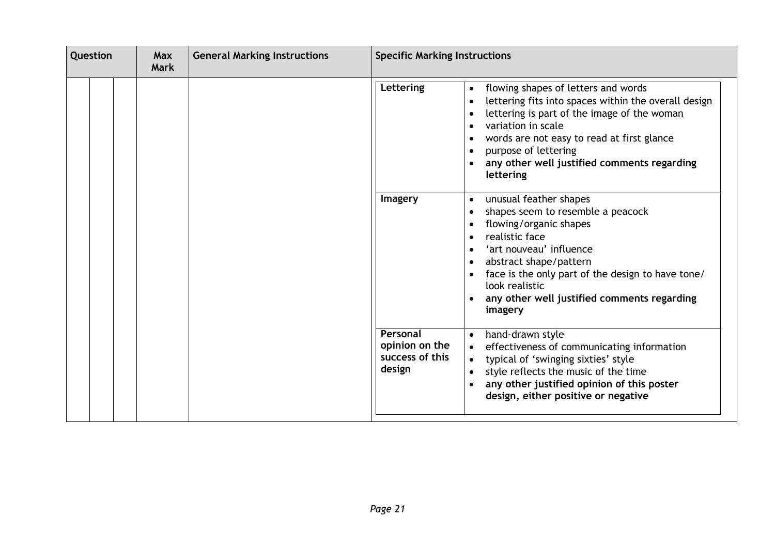| Question | <b>Max</b><br><b>General Marking Instructions</b><br><b>Mark</b> |  |                                                         | <b>Specific Marking Instructions</b>                                                                                                                                                                                                                                                                                                                                                                                                                                                                                                                                                                                                                           |  |  |
|----------|------------------------------------------------------------------|--|---------------------------------------------------------|----------------------------------------------------------------------------------------------------------------------------------------------------------------------------------------------------------------------------------------------------------------------------------------------------------------------------------------------------------------------------------------------------------------------------------------------------------------------------------------------------------------------------------------------------------------------------------------------------------------------------------------------------------------|--|--|
|          |                                                                  |  | Lettering<br><b>Imagery</b>                             | flowing shapes of letters and words<br>$\bullet$<br>lettering fits into spaces within the overall design<br>lettering is part of the image of the woman<br>variation in scale<br>$\bullet$<br>words are not easy to read at first glance<br>$\bullet$<br>purpose of lettering<br>$\bullet$<br>any other well justified comments regarding<br>lettering<br>unusual feather shapes<br>$\bullet$<br>shapes seem to resemble a peacock<br>flowing/organic shapes<br>realistic face<br>$\bullet$<br>'art nouveau' influence<br>$\bullet$<br>abstract shape/pattern<br>$\bullet$<br>face is the only part of the design to have tone/<br>$\bullet$<br>look realistic |  |  |
|          |                                                                  |  |                                                         | any other well justified comments regarding<br>$\bullet$<br>imagery                                                                                                                                                                                                                                                                                                                                                                                                                                                                                                                                                                                            |  |  |
|          |                                                                  |  | Personal<br>opinion on the<br>success of this<br>design | hand-drawn style<br>$\bullet$<br>effectiveness of communicating information<br>typical of 'swinging sixties' style<br>$\bullet$<br>style reflects the music of the time<br>any other justified opinion of this poster<br>$\bullet$<br>design, either positive or negative                                                                                                                                                                                                                                                                                                                                                                                      |  |  |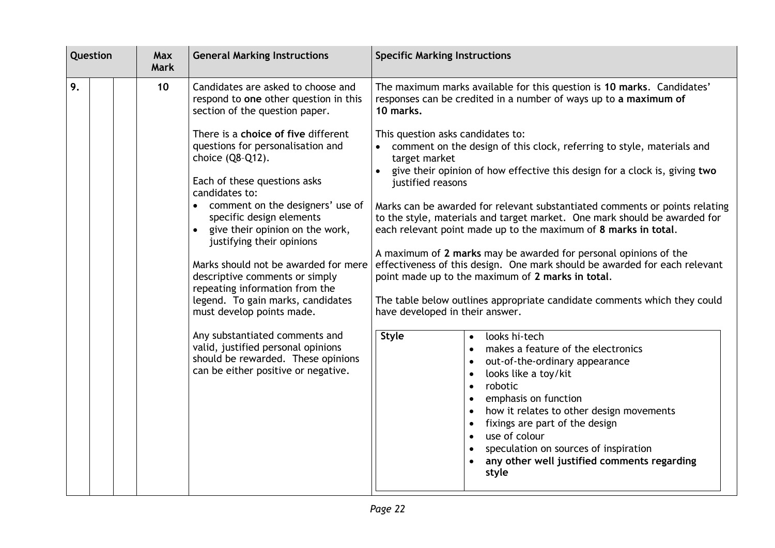|    | Question |  | Max<br><b>Mark</b> | <b>General Marking Instructions</b>                                                                                                                                                                                                                                                                                                                                                                                                                                                                                                                                                                                                                                                                                                | <b>Specific Marking Instructions</b>                                                                                                                                                                                                                                                                                                                                                                                                                                                                                                                                                                                                                                                                                                                                                                                                                                                                                                                                                                                                                                                                                                                                                                                                                                                                                                              |
|----|----------|--|--------------------|------------------------------------------------------------------------------------------------------------------------------------------------------------------------------------------------------------------------------------------------------------------------------------------------------------------------------------------------------------------------------------------------------------------------------------------------------------------------------------------------------------------------------------------------------------------------------------------------------------------------------------------------------------------------------------------------------------------------------------|---------------------------------------------------------------------------------------------------------------------------------------------------------------------------------------------------------------------------------------------------------------------------------------------------------------------------------------------------------------------------------------------------------------------------------------------------------------------------------------------------------------------------------------------------------------------------------------------------------------------------------------------------------------------------------------------------------------------------------------------------------------------------------------------------------------------------------------------------------------------------------------------------------------------------------------------------------------------------------------------------------------------------------------------------------------------------------------------------------------------------------------------------------------------------------------------------------------------------------------------------------------------------------------------------------------------------------------------------|
| 9. |          |  | 10                 | Candidates are asked to choose and<br>respond to one other question in this<br>section of the question paper.<br>There is a choice of five different<br>questions for personalisation and<br>choice (Q8-Q12).<br>Each of these questions asks<br>candidates to:<br>comment on the designers' use of<br>specific design elements<br>give their opinion on the work,<br>justifying their opinions<br>Marks should not be awarded for mere<br>descriptive comments or simply<br>repeating information from the<br>legend. To gain marks, candidates<br>must develop points made.<br>Any substantiated comments and<br>valid, justified personal opinions<br>should be rewarded. These opinions<br>can be either positive or negative. | The maximum marks available for this question is 10 marks. Candidates'<br>responses can be credited in a number of ways up to a maximum of<br>10 marks.<br>This question asks candidates to:<br>comment on the design of this clock, referring to style, materials and<br>target market<br>give their opinion of how effective this design for a clock is, giving two<br>justified reasons<br>Marks can be awarded for relevant substantiated comments or points relating<br>to the style, materials and target market. One mark should be awarded for<br>each relevant point made up to the maximum of 8 marks in total.<br>A maximum of 2 marks may be awarded for personal opinions of the<br>effectiveness of this design. One mark should be awarded for each relevant<br>point made up to the maximum of 2 marks in total.<br>The table below outlines appropriate candidate comments which they could<br>have developed in their answer.<br><b>Style</b><br>looks hi-tech<br>$\bullet$<br>makes a feature of the electronics<br>$\bullet$<br>out-of-the-ordinary appearance<br>looks like a toy/kit<br>robotic<br>$\bullet$<br>emphasis on function<br>how it relates to other design movements<br>fixings are part of the design<br>use of colour<br>speculation on sources of inspiration<br>any other well justified comments regarding |
|    |          |  |                    |                                                                                                                                                                                                                                                                                                                                                                                                                                                                                                                                                                                                                                                                                                                                    | style                                                                                                                                                                                                                                                                                                                                                                                                                                                                                                                                                                                                                                                                                                                                                                                                                                                                                                                                                                                                                                                                                                                                                                                                                                                                                                                                             |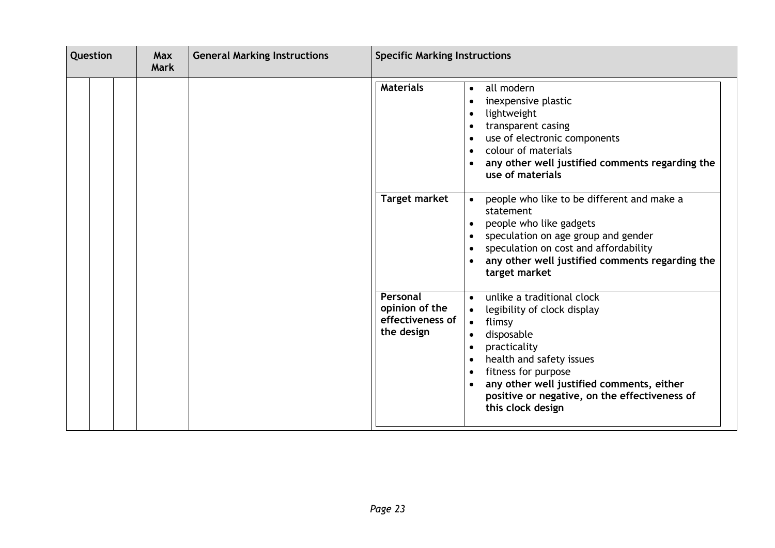| Question |  | <b>General Marking Instructions</b><br><b>Max</b><br><b>Mark</b> |  |  | <b>Specific Marking Instructions</b>                         |                                                                                                                                                                                                                                                                                                                                                                                                                                                                                                                              |  |
|----------|--|------------------------------------------------------------------|--|--|--------------------------------------------------------------|------------------------------------------------------------------------------------------------------------------------------------------------------------------------------------------------------------------------------------------------------------------------------------------------------------------------------------------------------------------------------------------------------------------------------------------------------------------------------------------------------------------------------|--|
|          |  |                                                                  |  |  | <b>Materials</b><br><b>Target market</b>                     | all modern<br>$\bullet$<br>inexpensive plastic<br>lightweight<br>transparent casing<br>use of electronic components<br>$\bullet$<br>colour of materials<br>$\bullet$<br>any other well justified comments regarding the<br>use of materials<br>people who like to be different and make a<br>$\bullet$<br>statement<br>people who like gadgets<br>speculation on age group and gender<br>$\bullet$<br>speculation on cost and affordability<br>any other well justified comments regarding the<br>$\bullet$<br>target market |  |
|          |  |                                                                  |  |  | Personal<br>opinion of the<br>effectiveness of<br>the design | unlike a traditional clock<br>$\bullet$<br>legibility of clock display<br>flimsy<br>$\bullet$<br>disposable<br>$\bullet$<br>practicality<br>health and safety issues<br>$\bullet$<br>fitness for purpose<br>$\bullet$<br>any other well justified comments, either<br>$\bullet$<br>positive or negative, on the effectiveness of<br>this clock design                                                                                                                                                                        |  |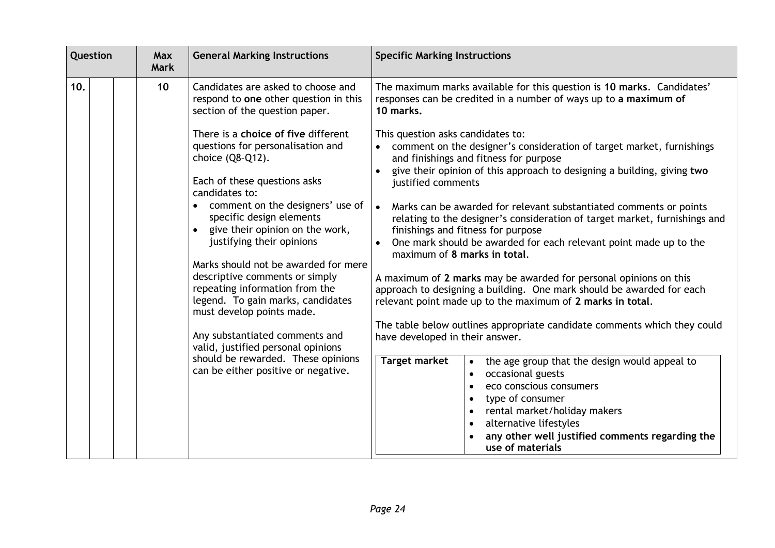| Question | Max<br><b>Mark</b> | <b>General Marking Instructions</b>                                                                                                                                                                                                                                                                                                                                                                                                                                                                                                                           | <b>Specific Marking Instructions</b>                                                                                                                                                                                                                                                                                                                                                                                                                                                                                                                                                                                                                                                                                                                                                                                                                                                                                               |  |
|----------|--------------------|---------------------------------------------------------------------------------------------------------------------------------------------------------------------------------------------------------------------------------------------------------------------------------------------------------------------------------------------------------------------------------------------------------------------------------------------------------------------------------------------------------------------------------------------------------------|------------------------------------------------------------------------------------------------------------------------------------------------------------------------------------------------------------------------------------------------------------------------------------------------------------------------------------------------------------------------------------------------------------------------------------------------------------------------------------------------------------------------------------------------------------------------------------------------------------------------------------------------------------------------------------------------------------------------------------------------------------------------------------------------------------------------------------------------------------------------------------------------------------------------------------|--|
| 10.      | 10 <sup>°</sup>    | Candidates are asked to choose and<br>respond to one other question in this<br>section of the question paper.<br>There is a choice of five different<br>questions for personalisation and<br>choice (Q8-Q12).<br>Each of these questions asks<br>candidates to:<br>comment on the designers' use of<br>specific design elements<br>give their opinion on the work,<br>$\bullet$<br>justifying their opinions<br>Marks should not be awarded for mere<br>descriptive comments or simply<br>repeating information from the<br>legend. To gain marks, candidates | The maximum marks available for this question is 10 marks. Candidates'<br>responses can be credited in a number of ways up to a maximum of<br>10 marks.<br>This question asks candidates to:<br>comment on the designer's consideration of target market, furnishings<br>and finishings and fitness for purpose<br>give their opinion of this approach to designing a building, giving two<br>justified comments<br>Marks can be awarded for relevant substantiated comments or points<br>• ا<br>relating to the designer's consideration of target market, furnishings and<br>finishings and fitness for purpose<br>One mark should be awarded for each relevant point made up to the<br>maximum of 8 marks in total.<br>A maximum of 2 marks may be awarded for personal opinions on this<br>approach to designing a building. One mark should be awarded for each<br>relevant point made up to the maximum of 2 marks in total. |  |
|          |                    | must develop points made.<br>Any substantiated comments and<br>valid, justified personal opinions<br>should be rewarded. These opinions<br>can be either positive or negative.                                                                                                                                                                                                                                                                                                                                                                                | The table below outlines appropriate candidate comments which they could<br>have developed in their answer.<br><b>Target market</b><br>the age group that the design would appeal to<br>occasional guests<br>$\bullet$<br>eco conscious consumers<br>type of consumer<br>rental market/holiday makers<br>alternative lifestyles<br>any other well justified comments regarding the<br>use of materials                                                                                                                                                                                                                                                                                                                                                                                                                                                                                                                             |  |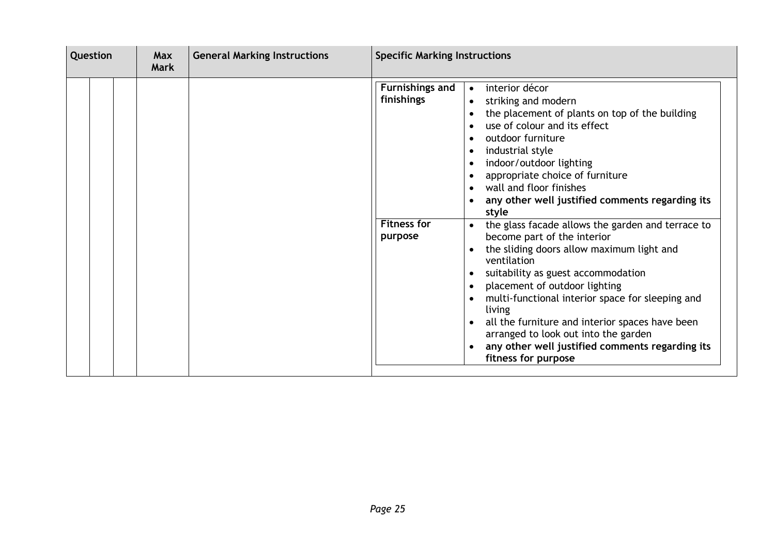| Question | <b>General Marking Instructions</b><br>Max<br><b>Mark</b> |  | <b>Specific Marking Instructions</b>                                                                                                                                                                                                                                                                                                                                                                                                                                                                                                                                                                                                                                                                                                                                                                                                                                                            |  |  |
|----------|-----------------------------------------------------------|--|-------------------------------------------------------------------------------------------------------------------------------------------------------------------------------------------------------------------------------------------------------------------------------------------------------------------------------------------------------------------------------------------------------------------------------------------------------------------------------------------------------------------------------------------------------------------------------------------------------------------------------------------------------------------------------------------------------------------------------------------------------------------------------------------------------------------------------------------------------------------------------------------------|--|--|
|          |                                                           |  | <b>Furnishings and</b><br>interior décor<br>$\bullet$<br>finishings<br>striking and modern<br>the placement of plants on top of the building<br>use of colour and its effect<br>outdoor furniture<br>industrial style<br>$\bullet$<br>indoor/outdoor lighting<br>appropriate choice of furniture<br>wall and floor finishes<br>any other well justified comments regarding its<br>style<br><b>Fitness for</b><br>the glass facade allows the garden and terrace to<br>$\bullet$<br>become part of the interior<br>purpose<br>the sliding doors allow maximum light and<br>ventilation<br>suitability as guest accommodation<br>placement of outdoor lighting<br>multi-functional interior space for sleeping and<br>living<br>all the furniture and interior spaces have been<br>arranged to look out into the garden<br>any other well justified comments regarding its<br>fitness for purpose |  |  |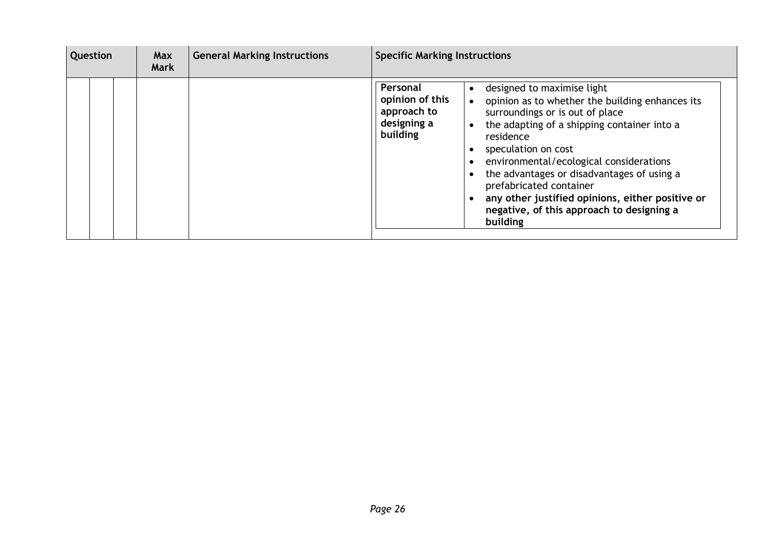| <b>Question</b> | <b>Max</b><br><b>Mark</b> | <b>General Marking Instructions</b> | <b>Specific Marking Instructions</b>                                                                                                                                                                                                                                                                                                                                                                                                                                                                          |  |  |
|-----------------|---------------------------|-------------------------------------|---------------------------------------------------------------------------------------------------------------------------------------------------------------------------------------------------------------------------------------------------------------------------------------------------------------------------------------------------------------------------------------------------------------------------------------------------------------------------------------------------------------|--|--|
|                 |                           |                                     | Personal<br>designed to maximise light<br>opinion of this<br>opinion as to whether the building enhances its<br>approach to<br>surroundings or is out of place<br>designing a<br>the adapting of a shipping container into a<br>building<br>residence<br>speculation on cost<br>environmental/ecological considerations<br>the advantages or disadvantages of using a<br>prefabricated container<br>any other justified opinions, either positive or<br>negative, of this approach to designing a<br>building |  |  |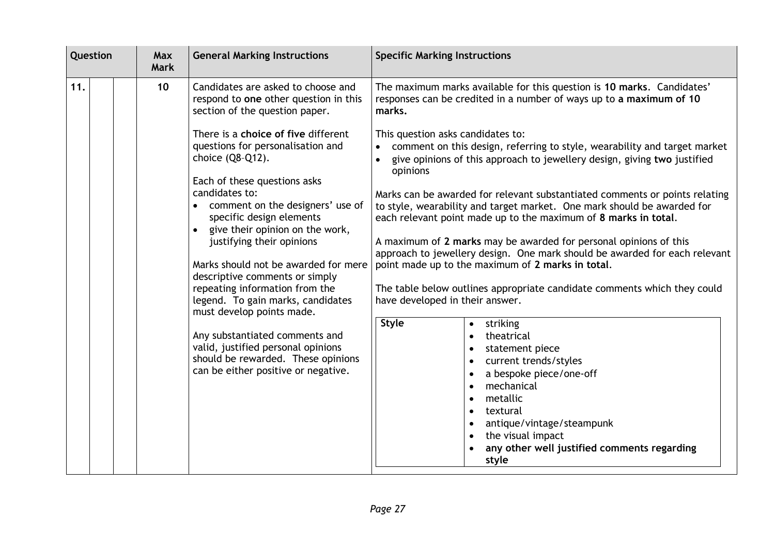| Question |  | <b>Max</b><br><b>Mark</b> | <b>General Marking Instructions</b>                                                                                                                                                                                                                                                                                                                                                                                                                                                                               | <b>Specific Marking Instructions</b>                                                                                                                                                                                                                                                                              |  |  |
|----------|--|---------------------------|-------------------------------------------------------------------------------------------------------------------------------------------------------------------------------------------------------------------------------------------------------------------------------------------------------------------------------------------------------------------------------------------------------------------------------------------------------------------------------------------------------------------|-------------------------------------------------------------------------------------------------------------------------------------------------------------------------------------------------------------------------------------------------------------------------------------------------------------------|--|--|
| 11.      |  | 10                        | Candidates are asked to choose and<br>respond to one other question in this<br>section of the question paper.                                                                                                                                                                                                                                                                                                                                                                                                     | The maximum marks available for this question is 10 marks. Candidates'<br>responses can be credited in a number of ways up to a maximum of 10<br>marks.                                                                                                                                                           |  |  |
|          |  |                           | There is a choice of five different<br>questions for personalisation and<br>choice (Q8-Q12).                                                                                                                                                                                                                                                                                                                                                                                                                      | This question asks candidates to:<br>comment on this design, referring to style, wearability and target market<br>give opinions of this approach to jewellery design, giving two justified<br>opinions                                                                                                            |  |  |
|          |  |                           | Each of these questions asks<br>candidates to:<br>comment on the designers' use of<br>specific design elements<br>give their opinion on the work,<br>justifying their opinions<br>Marks should not be awarded for mere<br>descriptive comments or simply<br>repeating information from the<br>legend. To gain marks, candidates<br>must develop points made.<br>Any substantiated comments and<br>valid, justified personal opinions<br>should be rewarded. These opinions<br>can be either positive or negative. | Marks can be awarded for relevant substantiated comments or points relating<br>to style, wearability and target market. One mark should be awarded for<br>each relevant point made up to the maximum of 8 marks in total.<br>A maximum of 2 marks may be awarded for personal opinions of this                    |  |  |
|          |  |                           |                                                                                                                                                                                                                                                                                                                                                                                                                                                                                                                   | approach to jewellery design. One mark should be awarded for each relevant<br>point made up to the maximum of 2 marks in total.<br>The table below outlines appropriate candidate comments which they could<br>have developed in their answer.                                                                    |  |  |
|          |  |                           |                                                                                                                                                                                                                                                                                                                                                                                                                                                                                                                   | <b>Style</b><br>striking<br>$\bullet$<br>theatrical<br>statement piece<br>current trends/styles<br>a bespoke piece/one-off<br>mechanical<br>$\bullet$<br>metallic<br>$\bullet$<br>textural<br>$\bullet$<br>antique/vintage/steampunk<br>the visual impact<br>any other well justified comments regarding<br>style |  |  |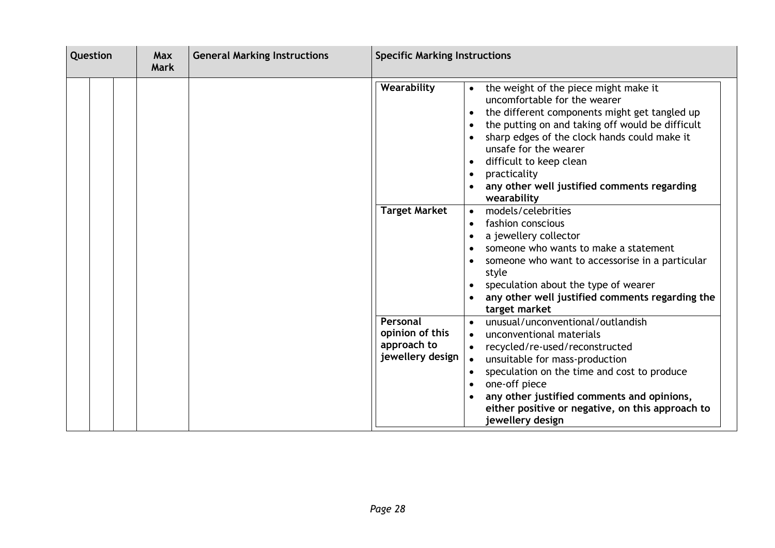| Question |  | <b>General Marking Instructions</b><br><b>Max</b><br><b>Mark</b> |  | <b>Specific Marking Instructions</b> |                                                                |                                                                                                                                                                                                                                                                                                                                                              |
|----------|--|------------------------------------------------------------------|--|--------------------------------------|----------------------------------------------------------------|--------------------------------------------------------------------------------------------------------------------------------------------------------------------------------------------------------------------------------------------------------------------------------------------------------------------------------------------------------------|
|          |  |                                                                  |  |                                      | Wearability                                                    | the weight of the piece might make it<br>uncomfortable for the wearer<br>the different components might get tangled up<br>the putting on and taking off would be difficult<br>sharp edges of the clock hands could make it<br>unsafe for the wearer<br>difficult to keep clean<br>practicality<br>any other well justified comments regarding<br>wearability |
|          |  |                                                                  |  |                                      | <b>Target Market</b>                                           | models/celebrities<br>fashion conscious<br>a jewellery collector<br>someone who wants to make a statement<br>someone who want to accessorise in a particular<br>style<br>speculation about the type of wearer<br>any other well justified comments regarding the<br>target market                                                                            |
|          |  |                                                                  |  |                                      | Personal<br>opinion of this<br>approach to<br>jewellery design | unusual/unconventional/outlandish<br>unconventional materials<br>recycled/re-used/reconstructed<br>unsuitable for mass-production<br>speculation on the time and cost to produce<br>one-off piece<br>any other justified comments and opinions,<br>either positive or negative, on this approach to<br>jewellery design                                      |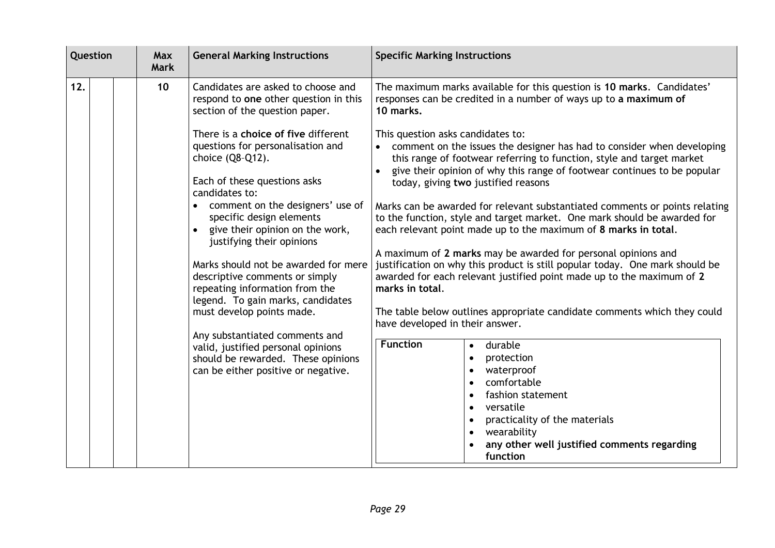| Question |  | Max<br><b>Mark</b> | <b>General Marking Instructions</b> | <b>Specific Marking Instructions</b>                                                                                                                                                                                                                                                                                            |                                                                                                                                                                                                                                                                                                                                                          |  |
|----------|--|--------------------|-------------------------------------|---------------------------------------------------------------------------------------------------------------------------------------------------------------------------------------------------------------------------------------------------------------------------------------------------------------------------------|----------------------------------------------------------------------------------------------------------------------------------------------------------------------------------------------------------------------------------------------------------------------------------------------------------------------------------------------------------|--|
| 12.      |  |                    | 10                                  | Candidates are asked to choose and<br>respond to one other question in this<br>section of the question paper.                                                                                                                                                                                                                   | The maximum marks available for this question is 10 marks. Candidates'<br>responses can be credited in a number of ways up to a maximum of<br>10 marks.                                                                                                                                                                                                  |  |
|          |  |                    |                                     | There is a choice of five different<br>questions for personalisation and<br>choice (Q8-Q12).<br>Each of these questions asks<br>candidates to:                                                                                                                                                                                  | This question asks candidates to:<br>comment on the issues the designer has had to consider when developing<br>this range of footwear referring to function, style and target market<br>give their opinion of why this range of footwear continues to be popular<br>today, giving two justified reasons                                                  |  |
|          |  |                    |                                     | comment on the designers' use of<br>specific design elements<br>give their opinion on the work,<br>justifying their opinions                                                                                                                                                                                                    | Marks can be awarded for relevant substantiated comments or points relating<br>to the function, style and target market. One mark should be awarded for<br>each relevant point made up to the maximum of 8 marks in total.                                                                                                                               |  |
|          |  |                    |                                     | Marks should not be awarded for mere<br>descriptive comments or simply<br>repeating information from the<br>legend. To gain marks, candidates<br>must develop points made.<br>Any substantiated comments and<br>valid, justified personal opinions<br>should be rewarded. These opinions<br>can be either positive or negative. | A maximum of 2 marks may be awarded for personal opinions and<br>justification on why this product is still popular today. One mark should be<br>awarded for each relevant justified point made up to the maximum of 2<br>marks in total.<br>The table below outlines appropriate candidate comments which they could<br>have developed in their answer. |  |
|          |  |                    |                                     |                                                                                                                                                                                                                                                                                                                                 |                                                                                                                                                                                                                                                                                                                                                          |  |
|          |  |                    |                                     |                                                                                                                                                                                                                                                                                                                                 | <b>Function</b><br>durable<br>protection<br>waterproof<br>comfortable<br>fashion statement<br>versatile<br>practicality of the materials<br>wearability<br>any other well justified comments regarding<br>function                                                                                                                                       |  |